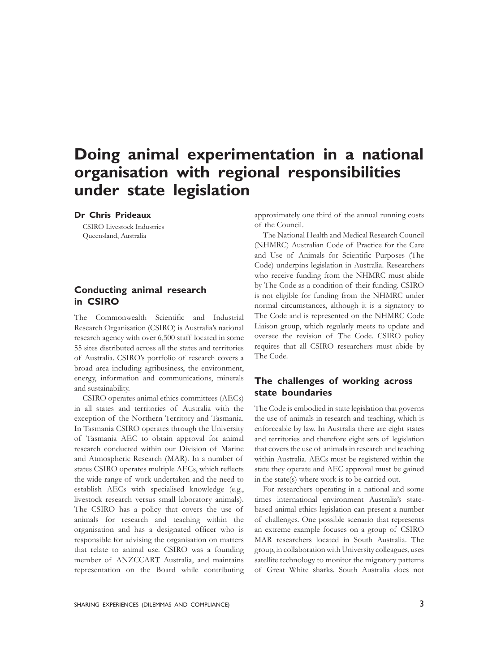# **Doing animal experimentation in a national organisation with regional responsibilities under state legislation**

**Dr Chris Prideaux**

CSIRO Livestock Industries Queensland, Australia

### **Conducting animal research in CSIRO**

The Commonwealth Scientific and Industrial Research Organisation (CSIRO) is Australia's national research agency with over 6,500 staff located in some 55 sites distributed across all the states and territories of Australia. CSIRO's portfolio of research covers a broad area including agribusiness, the environment, energy, information and communications, minerals and sustainability.

CSIRO operates animal ethics committees (AECs) in all states and territories of Australia with the exception of the Northern Territory and Tasmania. In Tasmania CSIRO operates through the University of Tasmania AEC to obtain approval for animal research conducted within our Division of Marine and Atmospheric Research (MAR). In a number of states CSIRO operates multiple AECs, which reflects the wide range of work undertaken and the need to establish AECs with specialised knowledge (e.g., livestock research versus small laboratory animals). The CSIRO has a policy that covers the use of animals for research and teaching within the organisation and has a designated officer who is responsible for advising the organisation on matters that relate to animal use. CSIRO was a founding member of ANZCCART Australia, and maintains representation on the Board while contributing

approximately one third of the annual running costs of the Council.

The National Health and Medical Research Council (NHMRC) Australian Code of Practice for the Care and Use of Animals for Scientific Purposes (The Code) underpins legislation in Australia. Researchers who receive funding from the NHMRC must abide by The Code as a condition of their funding. CSIRO is not eligible for funding from the NHMRC under normal circumstances, although it is a signatory to The Code and is represented on the NHMRC Code Liaison group, which regularly meets to update and oversee the revision of The Code. CSIRO policy requires that all CSIRO researchers must abide by The Code.

#### **The challenges of working across state boundaries**

The Code is embodied in state legislation that governs the use of animals in research and teaching, which is enforceable by law. In Australia there are eight states and territories and therefore eight sets of legislation that covers the use of animals in research and teaching within Australia. AECs must be registered within the state they operate and AEC approval must be gained in the state(s) where work is to be carried out.

For researchers operating in a national and some times international environment Australia's statebased animal ethics legislation can present a number of challenges. One possible scenario that represents an extreme example focuses on a group of CSIRO MAR researchers located in South Australia. The group, in collaboration with University colleagues, uses satellite technology to monitor the migratory patterns of Great White sharks. South Australia does not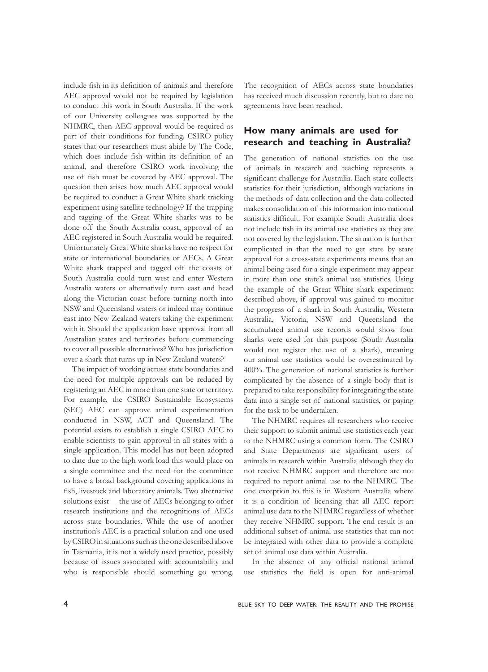include fish in its definition of animals and therefore AEC approval would not be required by legislation to conduct this work in South Australia. If the work of our University colleagues was supported by the NHMRC, then AEC approval would be required as part of their conditions for funding. CSIRO policy states that our researchers must abide by The Code, which does include fish within its definition of an animal, and therefore CSIRO work involving the use of fish must be covered by AEC approval. The question then arises how much AEC approval would be required to conduct a Great White shark tracking experiment using satellite technology? If the trapping and tagging of the Great White sharks was to be done off the South Australia coast, approval of an AEC registered in South Australia would be required. Unfortunately Great White sharks have no respect for state or international boundaries or AECs. A Great White shark trapped and tagged off the coasts of South Australia could turn west and enter Western Australia waters or alternatively turn east and head along the Victorian coast before turning north into NSW and Queensland waters or indeed may continue east into New Zealand waters taking the experiment with it. Should the application have approval from all Australian states and territories before commencing to cover all possible alternatives? Who has jurisdiction over a shark that turns up in New Zealand waters?

The impact of working across state boundaries and the need for multiple approvals can be reduced by registering an AEC in more than one state or territory. For example, the CSIRO Sustainable Ecosystems (SEC) AEC can approve animal experimentation conducted in NSW, ACT and Queensland. The potential exists to establish a single CSIRO AEC to enable scientists to gain approval in all states with a single application. This model has not been adopted to date due to the high work load this would place on a single committee and the need for the committee to have a broad background covering applications in fish, livestock and laboratory animals. Two alternative solutions exist— the use of AECs belonging to other research institutions and the recognitions of AECs across state boundaries. While the use of another institution's AEC is a practical solution and one used by CSIRO in situations such as the one described above in Tasmania, it is not a widely used practice, possibly because of issues associated with accountability and who is responsible should something go wrong.

The recognition of AECs across state boundaries has received much discussion recently, but to date no agreements have been reached.

### **How many animals are used for research and teaching in Australia?**

The generation of national statistics on the use of animals in research and teaching represents a significant challenge for Australia. Each state collects statistics for their jurisdiction, although variations in the methods of data collection and the data collected makes consolidation of this information into national statistics difficult. For example South Australia does not include fish in its animal use statistics as they are not covered by the legislation. The situation is further complicated in that the need to get state by state approval for a cross-state experiments means that an animal being used for a single experiment may appear in more than one state's animal use statistics. Using the example of the Great White shark experiment described above, if approval was gained to monitor the progress of a shark in South Australia, Western Australia, Victoria, NSW and Queensland the accumulated animal use records would show four sharks were used for this purpose (South Australia would not register the use of a shark), meaning our animal use statistics would be overestimated by 400%. The generation of national statistics is further complicated by the absence of a single body that is prepared to take responsibility for integrating the state data into a single set of national statistics, or paying for the task to be undertaken.

The NHMRC requires all researchers who receive their support to submit animal use statistics each year to the NHMRC using a common form. The CSIRO and State Departments are significant users of animals in research within Australia although they do not receive NHMRC support and therefore are not required to report animal use to the NHMRC. The one exception to this is in Western Australia where it is a condition of licensing that all AEC report animal use data to the NHMRC regardless of whether they receive NHMRC support. The end result is an additional subset of animal use statistics that can not be integrated with other data to provide a complete set of animal use data within Australia.

In the absence of any official national animal use statistics the field is open for anti-animal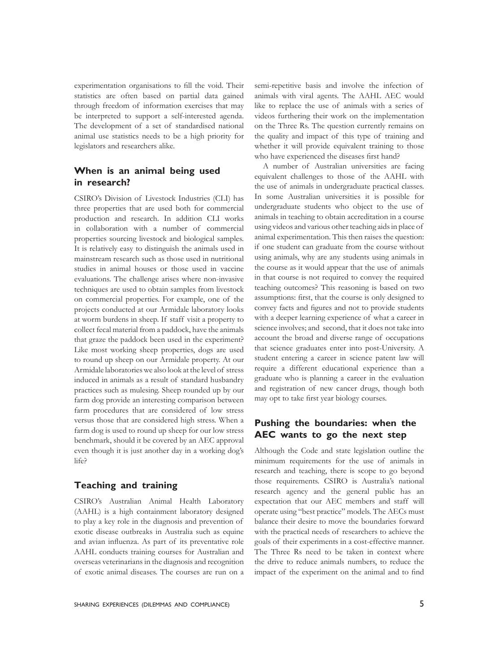experimentation organisations to fill the void. Their statistics are often based on partial data gained through freedom of information exercises that may be interpreted to support a self-interested agenda. The development of a set of standardised national animal use statistics needs to be a high priority for legislators and researchers alike.

## **When is an animal being used in research?**

CSIRO's Division of Livestock Industries (CLI) has three properties that are used both for commercial production and research. In addition CLI works in collaboration with a number of commercial properties sourcing livestock and biological samples. It is relatively easy to distinguish the animals used in mainstream research such as those used in nutritional studies in animal houses or those used in vaccine evaluations. The challenge arises where non-invasive techniques are used to obtain samples from livestock on commercial properties. For example, one of the projects conducted at our Armidale laboratory looks at worm burdens in sheep. If staff visit a property to collect fecal material from a paddock, have the animals that graze the paddock been used in the experiment? Like most working sheep properties, dogs are used to round up sheep on our Armidale property. At our Armidale laboratories we also look at the level of stress induced in animals as a result of standard husbandry practices such as mulesing. Sheep rounded up by our farm dog provide an interesting comparison between farm procedures that are considered of low stress versus those that are considered high stress. When a farm dog is used to round up sheep for our low stress benchmark, should it be covered by an AEC approval even though it is just another day in a working dog's life?

#### **Teaching and training**

CSIRO's Australian Animal Health Laboratory (AAHL) is a high containment laboratory designed to play a key role in the diagnosis and prevention of exotic disease outbreaks in Australia such as equine and avian influenza. As part of its preventative role AAHL conducts training courses for Australian and overseas veterinarians in the diagnosis and recognition of exotic animal diseases. The courses are run on a

semi-repetitive basis and involve the infection of animals with viral agents. The AAHL AEC would like to replace the use of animals with a series of videos furthering their work on the implementation on the Three Rs. The question currently remains on the quality and impact of this type of training and whether it will provide equivalent training to those who have experienced the diseases first hand?

A number of Australian universities are facing equivalent challenges to those of the AAHL with the use of animals in undergraduate practical classes. In some Australian universities it is possible for undergraduate students who object to the use of animals in teaching to obtain accreditation in a course using videos and various other teaching aids in place of animal experimentation. This then raises the question: if one student can graduate from the course without using animals, why are any students using animals in the course as it would appear that the use of animals in that course is not required to convey the required teaching outcomes? This reasoning is based on two assumptions: first, that the course is only designed to convey facts and figures and not to provide students with a deeper learning experience of what a career in science involves; and second, that it does not take into account the broad and diverse range of occupations that science graduates enter into post-University. A student entering a career in science patent law will require a different educational experience than a graduate who is planning a career in the evaluation and registration of new cancer drugs, though both may opt to take first year biology courses.

### **Pushing the boundaries: when the AEC wants to go the next step**

Although the Code and state legislation outline the minimum requirements for the use of animals in research and teaching, there is scope to go beyond those requirements. CSIRO is Australia's national research agency and the general public has an expectation that our AEC members and staff will operate using "best practice" models. The AECs must balance their desire to move the boundaries forward with the practical needs of researchers to achieve the goals of their experiments in a cost-effective manner. The Three Rs need to be taken in context where the drive to reduce animals numbers, to reduce the impact of the experiment on the animal and to find